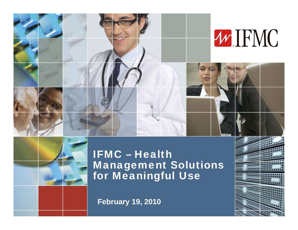



#### IFMC – Health Management Solutions for Meaningful Use

1

**February 19, 2010**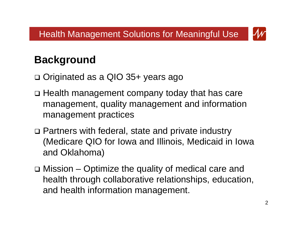

# **Background**

- Originated as a QIO 35+ years ago
- Health management company today that has care management, quality management and information management practices
- □ Partners with federal, state and private industry (Medicare QIO for Iowa and Illinois, Medicaid in Iowa and Oklahoma)
- Mission Optimize the quality of medical care and health through collaborative relationships, education, and health information management.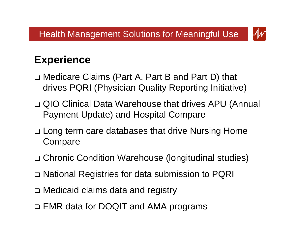

### **Experience**

- Medicare Claims (Part A, Part B and Part D) that drives PQRI (Physician Quality Reporting Initiative)
- □ QIO Clinical Data Warehouse that drives APU (Annual Payment Update) and Hospital Compare
- □ Long term care databases that drive Nursing Home **Compare**
- Chronic Condition Warehouse (longitudinal studies)
- National Registries for data submission to PQRI
- Medicaid claims data and registry
- EMR data for DOQIT and AMA programs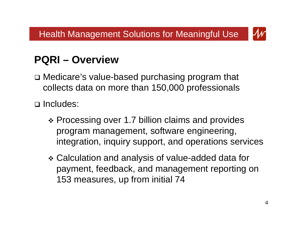

## **PQRI – Overview**

 Medicare's value-based purchasing program that collects data on more than 150,000 professionals

□ Includes:

- ❖ Processing over 1.7 billion claims and provides program management, software engineering, integration, inquiry support, and operations services
- Calculation and analysis of value-added data for payment, feedback, and management reporting on 153 measures, up from initial 74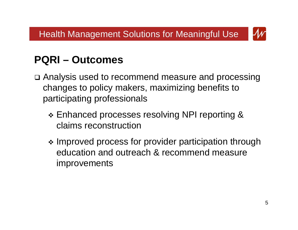

#### **PQRI – Outcomes**

- Analysis used to recommend measure and processing changes to policy makers, maximizing benefits to participating professionals
	- Enhanced processes resolving NPI reporting & claims reconstruction
	- Improved process for provider participation through education and outreach & recommend measure improvements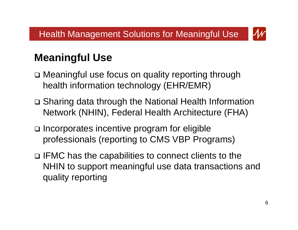

## **Meaningful Use**

- □ Meaningful use focus on quality reporting through health information technology (EHR/EMR)
- Sharing data through the National Health Information Network (NHIN), Federal Health Architecture (FHA)
- $\square$  Incorporates incentive program for eligible professionals (reporting to CMS VBP Programs)
- $\square$  IFMC has the capabilities to connect clients to the NHIN to support meaningful use data transactions and quality reporting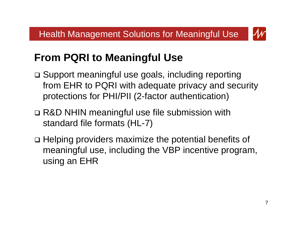

# **From PQRI to Meaningful Use**

- □ Support meaningful use goals, including reporting from EHR to PQRI with adequate privacy and security protections for PHI/PII (2-factor authentication)
- □ R&D NHIN meaningful use file submission with standard file formats (HL-7)
- □ Helping providers maximize the potential benefits of meaningful use, including the VBP incentive program, using an EHR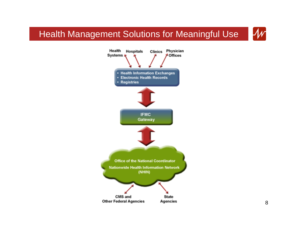#### Health Management Solutions for Meaningful Use



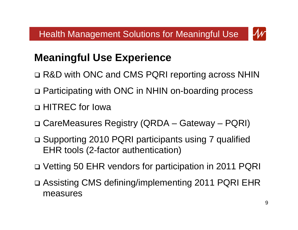

# **Meaningful Use Experience**

- R&D with ONC and CMS PQRI reporting across NHIN
- □ Participating with ONC in NHIN on-boarding process
- HITREC for Iowa
- CareMeasures Registry (QRDA Gateway PQRI)
- Supporting 2010 PQRI participants using 7 qualified EHR tools (2-factor authentication)
- Vetting 50 EHR vendors for participation in 2011 PQRI
- Assisting CMS defining/implementing 2011 PQRI EHR measures